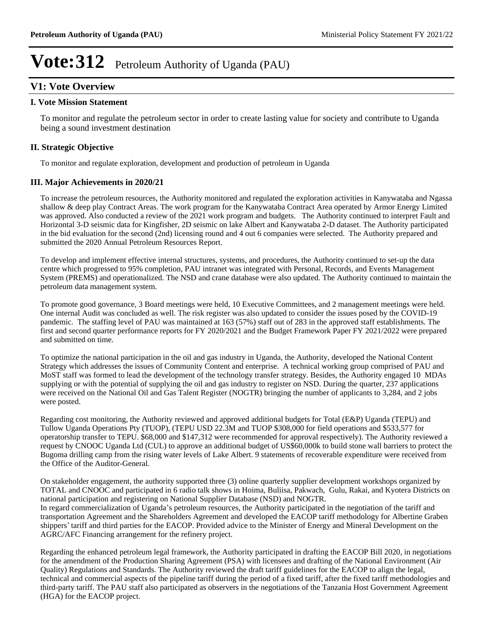# **V1: Vote Overview**

#### **I. Vote Mission Statement**

To monitor and regulate the petroleum sector in order to create lasting value for society and contribute to Uganda being a sound investment destination

### **II. Strategic Objective**

To monitor and regulate exploration, development and production of petroleum in Uganda

### **III. Major Achievements in 2020/21**

To increase the petroleum resources, the Authority monitored and regulated the exploration activities in Kanywataba and Ngassa shallow & deep play Contract Areas. The work program for the Kanywataba Contract Area operated by Armor Energy Limited was approved. Also conducted a review of the 2021 work program and budgets. The Authority continued to interpret Fault and Horizontal 3-D seismic data for Kingfisher, 2D seismic on lake Albert and Kanywataba 2-D dataset. The Authority participated in the bid evaluation for the second (2nd) licensing round and 4 out 6 companies were selected. The Authority prepared and submitted the 2020 Annual Petroleum Resources Report.

To develop and implement effective internal structures, systems, and procedures, the Authority continued to set-up the data centre which progressed to 95% completion, PAU intranet was integrated with Personal, Records, and Events Management System (PREMS) and operationalized. The NSD and crane database were also updated. The Authority continued to maintain the petroleum data management system.

To promote good governance, 3 Board meetings were held, 10 Executive Committees, and 2 management meetings were held. One internal Audit was concluded as well. The risk register was also updated to consider the issues posed by the COVID-19 pandemic. The staffing level of PAU was maintained at 163 (57%) staff out of 283 in the approved staff establishments. The first and second quarter performance reports for FY 2020/2021 and the Budget Framework Paper FY 2021/2022 were prepared and submitted on time.

To optimize the national participation in the oil and gas industry in Uganda, the Authority, developed the National Content Strategy which addresses the issues of Community Content and enterprise. A technical working group comprised of PAU and MoST staff was formed to lead the development of the technology transfer strategy. Besides, the Authority engaged 10 MDAs supplying or with the potential of supplying the oil and gas industry to register on NSD. During the quarter, 237 applications were received on the National Oil and Gas Talent Register (NOGTR) bringing the number of applicants to 3,284, and 2 jobs were posted.

Regarding cost monitoring, the Authority reviewed and approved additional budgets for Total (E&P) Uganda (TEPU) and Tullow Uganda Operations Pty (TUOP), (TEPU USD 22.3M and TUOP \$308,000 for field operations and \$533,577 for operatorship transfer to TEPU. \$68,000 and \$147,312 were recommended for approval respectively). The Authority reviewed a request by CNOOC Uganda Ltd (CUL) to approve an additional budget of US\$60,000k to build stone wall barriers to protect the Bugoma drilling camp from the rising water levels of Lake Albert. 9 statements of recoverable expenditure were received from the Office of the Auditor-General.

On stakeholder engagement, the authority supported three (3) online quarterly supplier development workshops organized by TOTAL and CNOOC and participated in 6 radio talk shows in Hoima, Buliisa, Pakwach, Gulu, Rakai, and Kyotera Districts on national participation and registering on National Supplier Database (NSD) and NOGTR. In regard commercialization of Uganda's petroleum resources, the Authority participated in the negotiation of the tariff and transportation Agreement and the Shareholders Agreement and developed the EACOP tariff methodology for Albertine Graben shippers' tariff and third parties for the EACOP. Provided advice to the Minister of Energy and Mineral Development on the AGRC/AFC Financing arrangement for the refinery project.

Regarding the enhanced petroleum legal framework, the Authority participated in drafting the EACOP Bill 2020, in negotiations for the amendment of the Production Sharing Agreement (PSA) with licensees and drafting of the National Environment (Air Quality) Regulations and Standards. The Authority reviewed the draft tariff guidelines for the EACOP to align the legal, technical and commercial aspects of the pipeline tariff during the period of a fixed tariff, after the fixed tariff methodologies and third-party tariff. The PAU staff also participated as observers in the negotiations of the Tanzania Host Government Agreement (HGA) for the EACOP project.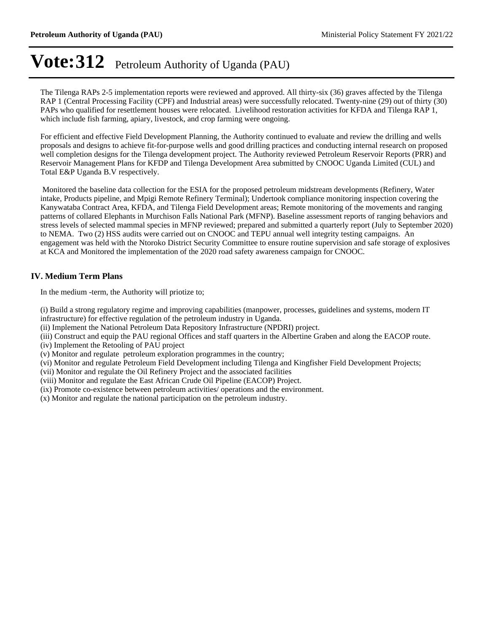The Tilenga RAPs 2-5 implementation reports were reviewed and approved. All thirty-six (36) graves affected by the Tilenga RAP 1 (Central Processing Facility (CPF) and Industrial areas) were successfully relocated. Twenty-nine (29) out of thirty (30) PAPs who qualified for resettlement houses were relocated. Livelihood restoration activities for KFDA and Tilenga RAP 1, which include fish farming, apiary, livestock, and crop farming were ongoing.

For efficient and effective Field Development Planning, the Authority continued to evaluate and review the drilling and wells proposals and designs to achieve fit-for-purpose wells and good drilling practices and conducting internal research on proposed well completion designs for the Tilenga development project. The Authority reviewed Petroleum Reservoir Reports (PRR) and Reservoir Management Plans for KFDP and Tilenga Development Area submitted by CNOOC Uganda Limited (CUL) and Total E&P Uganda B.V respectively.

 Monitored the baseline data collection for the ESIA for the proposed petroleum midstream developments (Refinery, Water intake, Products pipeline, and Mpigi Remote Refinery Terminal); Undertook compliance monitoring inspection covering the Kanywataba Contract Area, KFDA, and Tilenga Field Development areas; Remote monitoring of the movements and ranging patterns of collared Elephants in Murchison Falls National Park (MFNP). Baseline assessment reports of ranging behaviors and stress levels of selected mammal species in MFNP reviewed; prepared and submitted a quarterly report (July to September 2020) to NEMA. Two (2) HSS audits were carried out on CNOOC and TEPU annual well integrity testing campaigns. An engagement was held with the Ntoroko District Security Committee to ensure routine supervision and safe storage of explosives at KCA and Monitored the implementation of the 2020 road safety awareness campaign for CNOOC.

### **IV. Medium Term Plans**

In the medium -term, the Authority will priotize to;

(i) Build a strong regulatory regime and improving capabilities (manpower, processes, guidelines and systems, modern IT infrastructure) for effective regulation of the petroleum industry in Uganda.

(ii) Implement the National Petroleum Data Repository Infrastructure (NPDRI) project.

(iii) Construct and equip the PAU regional Offices and staff quarters in the Albertine Graben and along the EACOP route.

(iv) Implement the Retooling of PAU project

(v) Monitor and regulate petroleum exploration programmes in the country;

(vi) Monitor and regulate Petroleum Field Development including Tilenga and Kingfisher Field Development Projects;

(vii) Monitor and regulate the Oil Refinery Project and the associated facilities

(viii) Monitor and regulate the East African Crude Oil Pipeline (EACOP) Project.

(ix) Promote co-existence between petroleum activities/ operations and the environment.

(x) Monitor and regulate the national participation on the petroleum industry.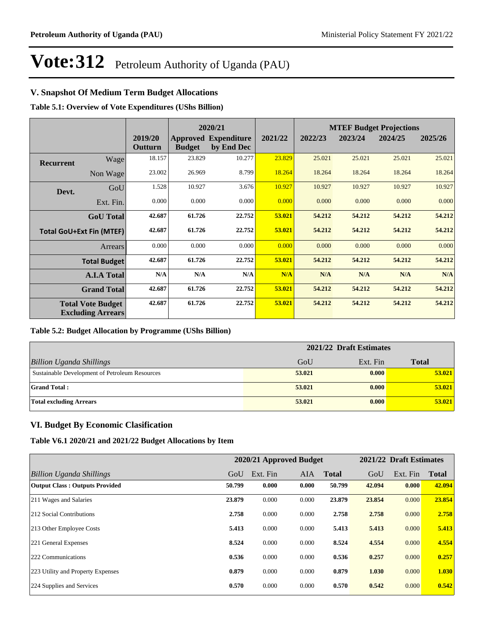### **V. Snapshot Of Medium Term Budget Allocations**

**Table 5.1: Overview of Vote Expenditures (UShs Billion)**

|                  |                                                      | 2020/21            |               |                                           | <b>MTEF Budget Projections</b> |         |         |         |         |
|------------------|------------------------------------------------------|--------------------|---------------|-------------------------------------------|--------------------------------|---------|---------|---------|---------|
|                  |                                                      | 2019/20<br>Outturn | <b>Budget</b> | <b>Approved Expenditure</b><br>by End Dec | 2021/22                        | 2022/23 | 2023/24 | 2024/25 | 2025/26 |
| <b>Recurrent</b> | Wage                                                 | 18.157             | 23.829        | 10.277                                    | 23.829                         | 25.021  | 25.021  | 25.021  | 25.021  |
|                  | Non Wage                                             | 23.002             | 26.969        | 8.799                                     | 18.264                         | 18.264  | 18.264  | 18.264  | 18.264  |
| Devt.            | GoU                                                  | 1.528              | 10.927        | 3.676                                     | 10.927                         | 10.927  | 10.927  | 10.927  | 10.927  |
|                  | Ext. Fin.                                            | 0.000              | 0.000         | 0.000                                     | 0.000                          | 0.000   | 0.000   | 0.000   | 0.000   |
|                  | <b>GoU</b> Total                                     | 42.687             | 61.726        | 22.752                                    | 53.021                         | 54.212  | 54.212  | 54.212  | 54.212  |
|                  | <b>Total GoU+Ext Fin (MTEF)</b>                      | 42.687             | 61.726        | 22.752                                    | 53.021                         | 54.212  | 54.212  | 54.212  | 54.212  |
|                  | Arrears                                              | 0.000              | 0.000         | 0.000                                     | 0.000                          | 0.000   | 0.000   | 0.000   | 0.000   |
|                  | <b>Total Budget</b>                                  | 42.687             | 61.726        | 22.752                                    | 53.021                         | 54.212  | 54.212  | 54.212  | 54.212  |
|                  | <b>A.I.A Total</b>                                   | N/A                | N/A           | N/A                                       | N/A                            | N/A     | N/A     | N/A     | N/A     |
|                  | <b>Grand Total</b>                                   | 42.687             | 61.726        | 22.752                                    | 53.021                         | 54.212  | 54.212  | 54.212  | 54.212  |
|                  | <b>Total Vote Budget</b><br><b>Excluding Arrears</b> | 42.687             | 61.726        | 22.752                                    | 53.021                         | 54.212  | 54.212  | 54.212  | 54.212  |

#### **Table 5.2: Budget Allocation by Programme (UShs Billion)**

|                                                | 2021/22 Draft Estimates |          |              |
|------------------------------------------------|-------------------------|----------|--------------|
| <b>Billion Uganda Shillings</b>                | GoU                     | Ext. Fin | <b>Total</b> |
| Sustainable Development of Petroleum Resources | 53,021                  | 0.000    | 53.021       |
| <b>Grand Total:</b>                            | 53.021                  | 0.000    | 53,021       |
| <b>Total excluding Arrears</b>                 | 53.021                  | 0.000    | 53.021       |

### **VI. Budget By Economic Clasification**

**Table V6.1 2020/21 and 2021/22 Budget Allocations by Item**

|                                       |        | 2020/21 Approved Budget |            |              |        | 2021/22 Draft Estimates |              |
|---------------------------------------|--------|-------------------------|------------|--------------|--------|-------------------------|--------------|
| Billion Uganda Shillings              | GoU    | Ext. Fin                | <b>AIA</b> | <b>Total</b> | GoU    | Ext. Fin                | <b>Total</b> |
| <b>Output Class: Outputs Provided</b> | 50.799 | 0.000                   | 0.000      | 50.799       | 42.094 | 0.000                   | 42.094       |
| 211 Wages and Salaries                | 23.879 | 0.000                   | 0.000      | 23.879       | 23.854 | 0.000                   | 23.854       |
| 212 Social Contributions              | 2.758  | 0.000                   | 0.000      | 2.758        | 2.758  | 0.000                   | 2.758        |
| 213 Other Employee Costs              | 5.413  | 0.000                   | 0.000      | 5.413        | 5.413  | 0.000                   | 5.413        |
| 221 General Expenses                  | 8.524  | 0.000                   | 0.000      | 8.524        | 4.554  | 0.000                   | 4.554        |
| 222 Communications                    | 0.536  | 0.000                   | 0.000      | 0.536        | 0.257  | 0.000                   | 0.257        |
| 223 Utility and Property Expenses     | 0.879  | 0.000                   | 0.000      | 0.879        | 1.030  | 0.000                   | 1.030        |
| 224 Supplies and Services             | 0.570  | 0.000                   | 0.000      | 0.570        | 0.542  | 0.000                   | 0.542        |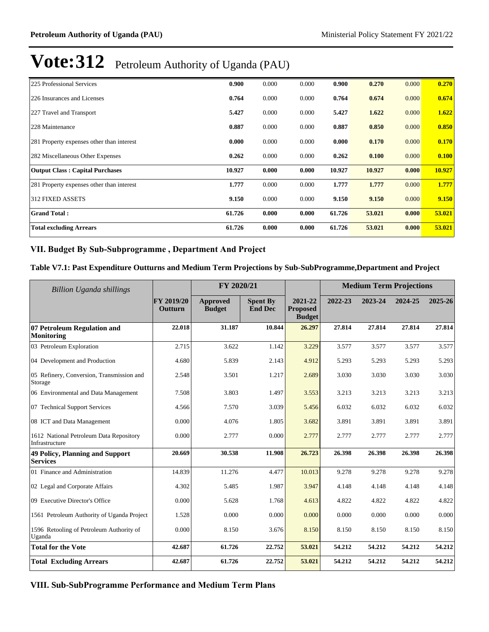| 225 Professional Services                 | 0.900  | 0.000 | 0.000 | 0.900  | 0.270  | 0.000 | 0.270  |
|-------------------------------------------|--------|-------|-------|--------|--------|-------|--------|
| 226 Insurances and Licenses               | 0.764  | 0.000 | 0.000 | 0.764  | 0.674  | 0.000 | 0.674  |
| 227 Travel and Transport                  | 5.427  | 0.000 | 0.000 | 5.427  | 1.622  | 0.000 | 1.622  |
| 228 Maintenance                           | 0.887  | 0.000 | 0.000 | 0.887  | 0.850  | 0.000 | 0.850  |
| 281 Property expenses other than interest | 0.000  | 0.000 | 0.000 | 0.000  | 0.170  | 0.000 | 0.170  |
| 282 Miscellaneous Other Expenses          | 0.262  | 0.000 | 0.000 | 0.262  | 0.100  | 0.000 | 0.100  |
| <b>Output Class: Capital Purchases</b>    | 10.927 | 0.000 | 0.000 | 10.927 | 10.927 | 0.000 | 10.927 |
| 281 Property expenses other than interest | 1.777  | 0.000 | 0.000 | 1.777  | 1.777  | 0.000 | 1.777  |
| <b>312 FIXED ASSETS</b>                   | 9.150  | 0.000 | 0.000 | 9.150  | 9.150  | 0.000 | 9.150  |
| <b>Grand Total:</b>                       | 61.726 | 0.000 | 0.000 | 61.726 | 53.021 | 0.000 | 53.021 |
| <b>Total excluding Arrears</b>            | 61.726 | 0.000 | 0.000 | 61.726 | 53.021 | 0.000 | 53.021 |

### VII. Budget By Sub-Subprogramme, Department And Project

#### **Table V7.1: Past Expenditure Outturns and Medium Term Projections by Sub-SubProgramme,Department and Project**

| <b>Billion Uganda shillings</b>                           | FY 2020/21            |                                  |                                   |                                             | <b>Medium Term Projections</b> |         |         |         |
|-----------------------------------------------------------|-----------------------|----------------------------------|-----------------------------------|---------------------------------------------|--------------------------------|---------|---------|---------|
|                                                           | FY 2019/20<br>Outturn | <b>Approved</b><br><b>Budget</b> | <b>Spent By</b><br><b>End Dec</b> | 2021-22<br><b>Proposed</b><br><b>Budget</b> | 2022-23                        | 2023-24 | 2024-25 | 2025-26 |
| 07 Petroleum Regulation and<br><b>Monitoring</b>          | 22.018                | 31.187                           | 10.844                            | 26.297                                      | 27.814                         | 27.814  | 27.814  | 27.814  |
| 03 Petroleum Exploration                                  | 2.715                 | 3.622                            | 1.142                             | 3.229                                       | 3.577                          | 3.577   | 3.577   | 3.577   |
| 04 Development and Production                             | 4.680                 | 5.839                            | 2.143                             | 4.912                                       | 5.293                          | 5.293   | 5.293   | 5.293   |
| 05 Refinery, Conversion, Transmission and<br>Storage      | 2.548                 | 3.501                            | 1.217                             | 2.689                                       | 3.030                          | 3.030   | 3.030   | 3.030   |
| 06 Environmental and Data Management                      | 7.508                 | 3.803                            | 1.497                             | 3.553                                       | 3.213                          | 3.213   | 3.213   | 3.213   |
| 07 Technical Support Services                             | 4.566                 | 7.570                            | 3.039                             | 5.456                                       | 6.032                          | 6.032   | 6.032   | 6.032   |
| 08 ICT and Data Management                                | 0.000                 | 4.076                            | 1.805                             | 3.682                                       | 3.891                          | 3.891   | 3.891   | 3.891   |
| 1612 National Petroleum Data Repository<br>Infrastructure | 0.000                 | 2.777                            | 0.000                             | 2.777                                       | 2.777                          | 2.777   | 2.777   | 2.777   |
| <b>49 Policy, Planning and Support</b><br><b>Services</b> | 20.669                | 30.538                           | 11.908                            | 26.723                                      | 26.398                         | 26.398  | 26.398  | 26.398  |
| 01 Finance and Administration                             | 14.839                | 11.276                           | 4.477                             | 10.013                                      | 9.278                          | 9.278   | 9.278   | 9.278   |
| 02 Legal and Corporate Affairs                            | 4.302                 | 5.485                            | 1.987                             | 3.947                                       | 4.148                          | 4.148   | 4.148   | 4.148   |
| 09 Executive Director's Office                            | 0.000                 | 5.628                            | 1.768                             | 4.613                                       | 4.822                          | 4.822   | 4.822   | 4.822   |
| 1561 Petroleum Authority of Uganda Project                | 1.528                 | 0.000                            | 0.000                             | 0.000                                       | 0.000                          | 0.000   | 0.000   | 0.000   |
| 1596 Retooling of Petroleum Authority of<br>Uganda        | 0.000                 | 8.150                            | 3.676                             | 8.150                                       | 8.150                          | 8.150   | 8.150   | 8.150   |
| <b>Total for the Vote</b>                                 | 42.687                | 61.726                           | 22.752                            | 53.021                                      | 54.212                         | 54.212  | 54.212  | 54.212  |
| <b>Total Excluding Arrears</b>                            | 42.687                | 61.726                           | 22.752                            | 53.021                                      | 54.212                         | 54.212  | 54.212  | 54.212  |

**VIII. Sub-SubProgramme Performance and Medium Term Plans**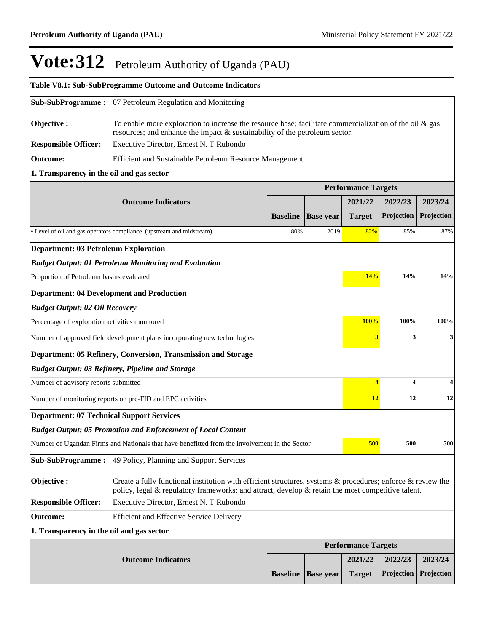|                                                                           | Table V8.1: Sub-SubProgramme Outcome and Outcome Indicators                                                                                                                                                                  |                 |                  |                            |            |            |
|---------------------------------------------------------------------------|------------------------------------------------------------------------------------------------------------------------------------------------------------------------------------------------------------------------------|-----------------|------------------|----------------------------|------------|------------|
|                                                                           | <b>Sub-SubProgramme:</b> 07 Petroleum Regulation and Monitoring                                                                                                                                                              |                 |                  |                            |            |            |
| Objective:                                                                | To enable more exploration to increase the resource base; facilitate commercialization of the oil $\&$ gas<br>resources; and enhance the impact $\&$ sustainability of the petroleum sector.                                 |                 |                  |                            |            |            |
| <b>Responsible Officer:</b>                                               | Executive Director, Ernest N. T Rubondo                                                                                                                                                                                      |                 |                  |                            |            |            |
| <b>Outcome:</b>                                                           | Efficient and Sustainable Petroleum Resource Management                                                                                                                                                                      |                 |                  |                            |            |            |
| 1. Transparency in the oil and gas sector                                 |                                                                                                                                                                                                                              |                 |                  |                            |            |            |
|                                                                           |                                                                                                                                                                                                                              |                 |                  | <b>Performance Targets</b> |            |            |
|                                                                           | <b>Outcome Indicators</b>                                                                                                                                                                                                    |                 |                  | 2021/22                    | 2022/23    | 2023/24    |
|                                                                           |                                                                                                                                                                                                                              | <b>Baseline</b> | <b>Base year</b> | <b>Target</b>              | Projection | Projection |
|                                                                           | • Level of oil and gas operators compliance (upstream and midstream)                                                                                                                                                         | 80%             | 2019             | 82%                        | 85%        | 87%        |
| <b>Department: 03 Petroleum Exploration</b>                               |                                                                                                                                                                                                                              |                 |                  |                            |            |            |
|                                                                           | <b>Budget Output: 01 Petroleum Monitoring and Evaluation</b>                                                                                                                                                                 |                 |                  |                            |            |            |
| Proportion of Petroleum basins evaluated                                  |                                                                                                                                                                                                                              |                 |                  | 14%                        | 14%        | 14%        |
| <b>Department: 04 Development and Production</b>                          |                                                                                                                                                                                                                              |                 |                  |                            |            |            |
| <b>Budget Output: 02 Oil Recovery</b>                                     |                                                                                                                                                                                                                              |                 |                  |                            |            |            |
| Percentage of exploration activities monitored                            |                                                                                                                                                                                                                              |                 |                  | <b>100%</b>                | 100%       | 100%       |
| Number of approved field development plans incorporating new technologies |                                                                                                                                                                                                                              | 3               | 3                | 3                          |            |            |
|                                                                           | Department: 05 Refinery, Conversion, Transmission and Storage                                                                                                                                                                |                 |                  |                            |            |            |
|                                                                           | <b>Budget Output: 03 Refinery, Pipeline and Storage</b>                                                                                                                                                                      |                 |                  |                            |            |            |
| Number of advisory reports submitted                                      |                                                                                                                                                                                                                              |                 |                  | $\overline{\mathbf{4}}$    | 4          | 4          |
|                                                                           | Number of monitoring reports on pre-FID and EPC activities                                                                                                                                                                   |                 |                  | 12                         | 12         | 12         |
| <b>Department: 07 Technical Support Services</b>                          |                                                                                                                                                                                                                              |                 |                  |                            |            |            |
|                                                                           | <b>Budget Output: 05 Promotion and Enforcement of Local Content</b>                                                                                                                                                          |                 |                  |                            |            |            |
|                                                                           | Number of Ugandan Firms and Nationals that have benefitted from the involvement in the Sector                                                                                                                                |                 |                  | <b>500</b>                 | 500        | 500        |
| <b>Sub-SubProgramme:</b>                                                  | 49 Policy, Planning and Support Services                                                                                                                                                                                     |                 |                  |                            |            |            |
| Objective:                                                                | Create a fully functional institution with efficient structures, systems $\&$ procedures; enforce $\&$ review the<br>policy, legal $\&$ regulatory frameworks; and attract, develop $\&$ retain the most competitive talent. |                 |                  |                            |            |            |
| <b>Responsible Officer:</b>                                               | Executive Director, Ernest N. T Rubondo                                                                                                                                                                                      |                 |                  |                            |            |            |
| <b>Outcome:</b><br><b>Efficient and Effective Service Delivery</b>        |                                                                                                                                                                                                                              |                 |                  |                            |            |            |
| 1. Transparency in the oil and gas sector                                 |                                                                                                                                                                                                                              |                 |                  |                            |            |            |
|                                                                           |                                                                                                                                                                                                                              |                 |                  | <b>Performance Targets</b> |            |            |
|                                                                           | <b>Outcome Indicators</b>                                                                                                                                                                                                    |                 |                  | 2021/22                    | 2022/23    | 2023/24    |
|                                                                           |                                                                                                                                                                                                                              | <b>Baseline</b> | <b>Base year</b> | <b>Target</b>              | Projection | Projection |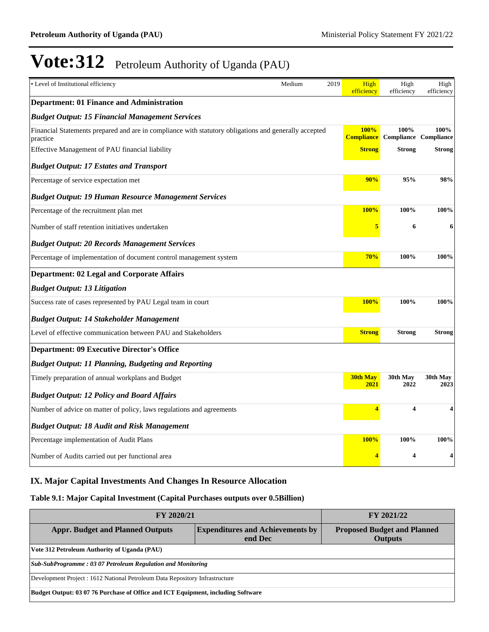| • Level of Institutional efficiency                                                                               | Medium | 2019<br>High<br>efficiency       | High<br>efficiency                   | High<br>efficiency |
|-------------------------------------------------------------------------------------------------------------------|--------|----------------------------------|--------------------------------------|--------------------|
| <b>Department: 01 Finance and Administration</b>                                                                  |        |                                  |                                      |                    |
| <b>Budget Output: 15 Financial Management Services</b>                                                            |        |                                  |                                      |                    |
| Financial Statements prepared and are in compliance with statutory obligations and generally accepted<br>practice |        | <b>100%</b><br><b>Compliance</b> | 100%<br><b>Compliance Compliance</b> | 100%               |
| Effective Management of PAU financial liability                                                                   |        | <b>Strong</b>                    | Strong                               | Strong             |
| <b>Budget Output: 17 Estates and Transport</b>                                                                    |        |                                  |                                      |                    |
| Percentage of service expectation met                                                                             |        | 90%                              | 95%                                  | 98%                |
| <b>Budget Output: 19 Human Resource Management Services</b>                                                       |        |                                  |                                      |                    |
| Percentage of the recruitment plan met                                                                            |        | 100%                             | 100%                                 | 100%               |
| Number of staff retention initiatives undertaken                                                                  |        | 5                                | 6                                    | 6                  |
| <b>Budget Output: 20 Records Management Services</b>                                                              |        |                                  |                                      |                    |
| Percentage of implementation of document control management system                                                |        | 70%                              | 100%                                 | 100%               |
| <b>Department: 02 Legal and Corporate Affairs</b>                                                                 |        |                                  |                                      |                    |
| <b>Budget Output: 13 Litigation</b>                                                                               |        |                                  |                                      |                    |
| Success rate of cases represented by PAU Legal team in court                                                      |        | <b>100%</b>                      | 100%                                 | 100%               |
| <b>Budget Output: 14 Stakeholder Management</b>                                                                   |        |                                  |                                      |                    |
| Level of effective communication between PAU and Stakeholders                                                     |        | <b>Strong</b>                    | <b>Strong</b>                        | Strong             |
| <b>Department: 09 Executive Director's Office</b>                                                                 |        |                                  |                                      |                    |
| <b>Budget Output: 11 Planning, Budgeting and Reporting</b>                                                        |        |                                  |                                      |                    |
| Timely preparation of annual workplans and Budget                                                                 |        | <b>30th May</b><br>2021          | 30th May<br>2022                     | 30th May<br>2023   |
| <b>Budget Output: 12 Policy and Board Affairs</b>                                                                 |        |                                  |                                      |                    |
| Number of advice on matter of policy, laws regulations and agreements                                             |        | 4                                | $\overline{\mathbf{4}}$              | 4                  |
| <b>Budget Output: 18 Audit and Risk Management</b>                                                                |        |                                  |                                      |                    |
| Percentage implementation of Audit Plans                                                                          |        | <b>100%</b>                      | 100%                                 | 100%               |
| Number of Audits carried out per functional area                                                                  |        | 4                                | 4                                    | 4                  |

# **IX. Major Capital Investments And Changes In Resource Allocation**

### **Table 9.1: Major Capital Investment (Capital Purchases outputs over 0.5Billion)**

| FY 2020/21                                                                       | FY 2021/22                                           |  |  |  |  |
|----------------------------------------------------------------------------------|------------------------------------------------------|--|--|--|--|
| <b>Appr. Budget and Planned Outputs</b>                                          | <b>Proposed Budget and Planned</b><br><b>Outputs</b> |  |  |  |  |
| Vote 312 Petroleum Authority of Uganda (PAU)                                     |                                                      |  |  |  |  |
| Sub-SubProgramme: 03 07 Petroleum Regulation and Monitoring                      |                                                      |  |  |  |  |
| Development Project : 1612 National Petroleum Data Repository Infrastructure     |                                                      |  |  |  |  |
| Budget Output: 03 07 76 Purchase of Office and ICT Equipment, including Software |                                                      |  |  |  |  |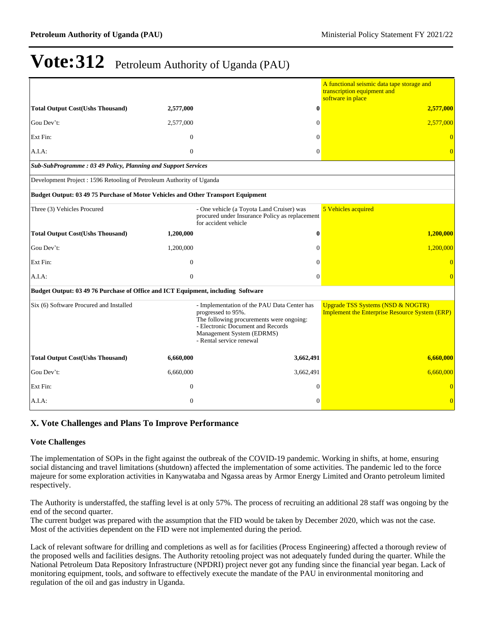|                                                                                  |                                                                                                                                                                                                             |                                                                                                                     | A functional seismic data tape storage and<br>transcription equipment and<br>software in place        |
|----------------------------------------------------------------------------------|-------------------------------------------------------------------------------------------------------------------------------------------------------------------------------------------------------------|---------------------------------------------------------------------------------------------------------------------|-------------------------------------------------------------------------------------------------------|
| <b>Total Output Cost(Ushs Thousand)</b>                                          | 2,577,000                                                                                                                                                                                                   | $\bf{0}$                                                                                                            | 2,577,000                                                                                             |
| Gou Dev't:                                                                       | 2,577,000                                                                                                                                                                                                   | $\Omega$                                                                                                            | 2,577,000                                                                                             |
| Ext Fin:                                                                         | $\overline{0}$                                                                                                                                                                                              | $\Omega$                                                                                                            | $\Omega$                                                                                              |
| A.I.A:                                                                           | $\mathbf{0}$                                                                                                                                                                                                | $\Omega$                                                                                                            |                                                                                                       |
| Sub-SubProgramme: 03 49 Policy, Planning and Support Services                    |                                                                                                                                                                                                             |                                                                                                                     |                                                                                                       |
| Development Project : 1596 Retooling of Petroleum Authority of Uganda            |                                                                                                                                                                                                             |                                                                                                                     |                                                                                                       |
| Budget Output: 03 49 75 Purchase of Motor Vehicles and Other Transport Equipment |                                                                                                                                                                                                             |                                                                                                                     |                                                                                                       |
| Three (3) Vehicles Procured                                                      |                                                                                                                                                                                                             | - One vehicle (a Toyota Land Cruiser) was<br>procured under Insurance Policy as replacement<br>for accident vehicle | 5 Vehicles acquired                                                                                   |
| <b>Total Output Cost(Ushs Thousand)</b>                                          | 1,200,000                                                                                                                                                                                                   | $\mathbf{0}$                                                                                                        | 1,200,000                                                                                             |
| Gou Dev't:                                                                       | 1,200,000                                                                                                                                                                                                   | $\Omega$                                                                                                            | 1,200,000                                                                                             |
| Ext Fin:                                                                         | $\Omega$                                                                                                                                                                                                    | $\Omega$                                                                                                            |                                                                                                       |
| A.I.A:                                                                           | $\overline{0}$                                                                                                                                                                                              | $\Omega$                                                                                                            |                                                                                                       |
| Budget Output: 03 49 76 Purchase of Office and ICT Equipment, including Software |                                                                                                                                                                                                             |                                                                                                                     |                                                                                                       |
| Six (6) Software Procured and Installed                                          | - Implementation of the PAU Data Center has<br>progressed to 95%.<br>The following procurements were ongoing:<br>- Electronic Document and Records<br>Management System (EDRMS)<br>- Rental service renewal |                                                                                                                     | <b>Upgrade TSS Systems (NSD &amp; NOGTR)</b><br><b>Implement the Enterprise Resource System (ERP)</b> |
| <b>Total Output Cost(Ushs Thousand)</b>                                          | 6,660,000                                                                                                                                                                                                   | 3,662,491                                                                                                           | 6,660,000                                                                                             |
| Gou Dev't:                                                                       | 6,660,000                                                                                                                                                                                                   | 3,662,491                                                                                                           | 6,660,000                                                                                             |
| Ext Fin:                                                                         | $\theta$                                                                                                                                                                                                    | $\theta$                                                                                                            |                                                                                                       |
| A.I.A.                                                                           | $\mathbf{0}$                                                                                                                                                                                                | $\Omega$                                                                                                            | $\overline{0}$                                                                                        |

# **X. Vote Challenges and Plans To Improve Performance**

#### **Vote Challenges**

The implementation of SOPs in the fight against the outbreak of the COVID-19 pandemic. Working in shifts, at home, ensuring social distancing and travel limitations (shutdown) affected the implementation of some activities. The pandemic led to the force majeure for some exploration activities in Kanywataba and Ngassa areas by Armor Energy Limited and Oranto petroleum limited respectively.

The Authority is understaffed, the staffing level is at only 57%. The process of recruiting an additional 28 staff was ongoing by the end of the second quarter.

The current budget was prepared with the assumption that the FID would be taken by December 2020, which was not the case. Most of the activities dependent on the FID were not implemented during the period.

Lack of relevant software for drilling and completions as well as for facilities (Process Engineering) affected a thorough review of the proposed wells and facilities designs. The Authority retooling project was not adequately funded during the quarter. While the National Petroleum Data Repository Infrastructure (NPDRI) project never got any funding since the financial year began. Lack of monitoring equipment, tools, and software to effectively execute the mandate of the PAU in environmental monitoring and regulation of the oil and gas industry in Uganda.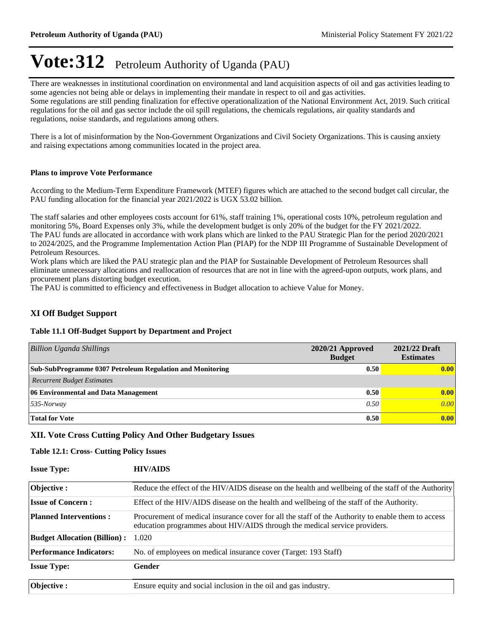There are weaknesses in institutional coordination on environmental and land acquisition aspects of oil and gas activities leading to some agencies not being able or delays in implementing their mandate in respect to oil and gas activities. Some regulations are still pending finalization for effective operationalization of the National Environment Act, 2019. Such critical regulations for the oil and gas sector include the oil spill regulations, the chemicals regulations, air quality standards and regulations, noise standards, and regulations among others.

There is a lot of misinformation by the Non-Government Organizations and Civil Society Organizations. This is causing anxiety and raising expectations among communities located in the project area.

#### **Plans to improve Vote Performance**

According to the Medium-Term Expenditure Framework (MTEF) figures which are attached to the second budget call circular, the PAU funding allocation for the financial year 2021/2022 is UGX 53.02 billion.

The staff salaries and other employees costs account for 61%, staff training 1%, operational costs 10%, petroleum regulation and monitoring 5%, Board Expenses only 3%, while the development budget is only 20% of the budget for the FY 2021/2022. The PAU funds are allocated in accordance with work plans which are linked to the PAU Strategic Plan for the period 2020/2021 to 2024/2025, and the Programme Implementation Action Plan (PIAP) for the NDP III Programme of Sustainable Development of Petroleum Resources.

Work plans which are liked the PAU strategic plan and the PIAP for Sustainable Development of Petroleum Resources shall eliminate unnecessary allocations and reallocation of resources that are not in line with the agreed-upon outputs, work plans, and procurement plans distorting budget execution.

The PAU is committed to efficiency and effectiveness in Budget allocation to achieve Value for Money.

### **XI Off Budget Support**

#### **Table 11.1 Off-Budget Support by Department and Project**

| Billion Uganda Shillings                                         | $2020/21$ Approved<br><b>Budget</b> | 2021/22 Draft<br><b>Estimates</b> |
|------------------------------------------------------------------|-------------------------------------|-----------------------------------|
| <b>Sub-SubProgramme 0307 Petroleum Regulation and Monitoring</b> | 0.50                                | 0.00                              |
| <b>Recurrent Budget Estimates</b>                                |                                     |                                   |
| 06 Environmental and Data Management                             | 0.50                                | 0.00                              |
| $535$ -Norway                                                    | 0.50                                | 0.00                              |
| <b>Total for Vote</b>                                            | 0.50                                | 0.00                              |

### **XII. Vote Cross Cutting Policy And Other Budgetary Issues**

#### **Table 12.1: Cross- Cutting Policy Issues**

| <b>Issue Type:</b>                  | <b>HIV/AIDS</b>                                                                                                                                                                  |
|-------------------------------------|----------------------------------------------------------------------------------------------------------------------------------------------------------------------------------|
| Objective :                         | Reduce the effect of the HIV/AIDS disease on the health and wellbeing of the staff of the Authority                                                                              |
| <b>Issue of Concern:</b>            | Effect of the HIV/AIDS disease on the health and wellbeing of the staff of the Authority.                                                                                        |
| <b>Planned Interventions:</b>       | Procurement of medical insurance cover for all the staff of the Authority to enable them to access<br>education programmes about HIV/AIDS through the medical service providers. |
| <b>Budget Allocation (Billion):</b> | 1.020                                                                                                                                                                            |
| <b>Performance Indicators:</b>      | No. of employees on medical insurance cover (Target: 193 Staff)                                                                                                                  |
| <b>Issue Type:</b>                  | <b>Gender</b>                                                                                                                                                                    |
| <b>Objective:</b>                   | Ensure equity and social inclusion in the oil and gas industry.                                                                                                                  |